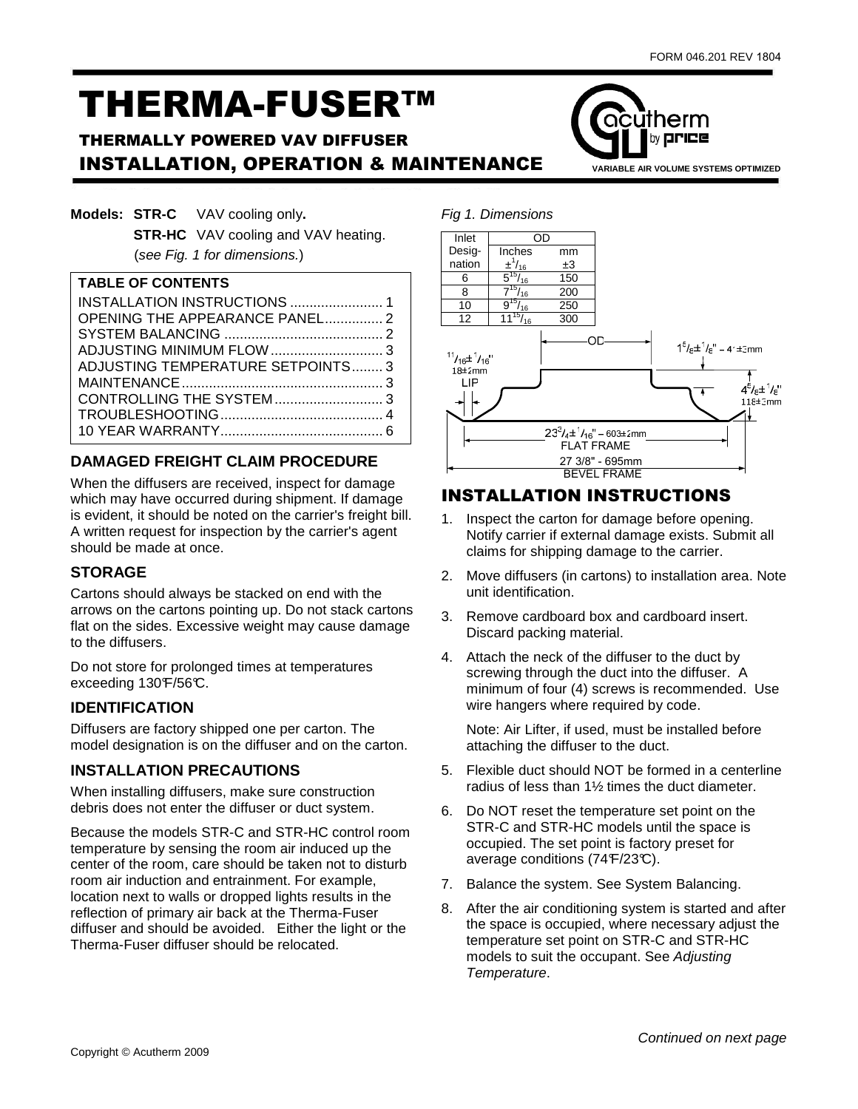acutherm

by **price** 

# THERMA-FUSER™

# THERMALLY POWERED VAV DIFFUSER **INSTALLATION, OPERATION & MAINTENANCE** VARIABLE AIR VOLUME SYSTEMS OPTIMIZED

|  | <b>Models: STR-C</b> VAV cooling only.     |
|--|--------------------------------------------|
|  | <b>STR-HC</b> VAV cooling and VAV heating. |
|  | (see Fig. 1 for dimensions.)               |

#### **TABLE OF CONTENTS**

| <b>OPENING THE APPEARANCE PANEL 2</b> |  |
|---------------------------------------|--|
|                                       |  |
|                                       |  |
| ADJUSTING TEMPERATURE SETPOINTS 3     |  |
|                                       |  |
|                                       |  |
|                                       |  |
|                                       |  |

## **DAMAGED FREIGHT CLAIM PROCEDURE**

When the diffusers are received, inspect for damage which may have occurred during shipment. If damage is evident, it should be noted on the carrier's freight bill. A written request for inspection by the carrier's agent should be made at once.

## **STORAGE**

Cartons should always be stacked on end with the arrows on the cartons pointing up. Do not stack cartons flat on the sides. Excessive weight may cause damage to the diffusers.

Do not store for prolonged times at temperatures exceeding  $130F/56C$ .

#### **IDENTIFICATION**

Diffusers are factory shipped one per carton. The model designation is on the diffuser and on the carton.

### **INSTALLATION PRECAUTIONS**

When installing diffusers, make sure construction debris does not enter the diffuser or duct system.

Because the models STR-C and STR-HC control room temperature by sensing the room air induced up the center of the room, care should be taken not to disturb room air induction and entrainment. For example, location next to walls or dropped lights results in the reflection of primary air back at the Therma-Fuser diffuser and should be avoided. Either the light or the Therma-Fuser diffuser should be relocated.



# INSTALLATION INSTRUCTIONS

- 1. Inspect the carton for damage before opening. Notify carrier if external damage exists. Submit all claims for shipping damage to the carrier.
- 2. Move diffusers (in cartons) to installation area. Note unit identification.
- 3. Remove cardboard box and cardboard insert. Discard packing material.
- 4. Attach the neck of the diffuser to the duct by screwing through the duct into the diffuser. A minimum of four (4) screws is recommended. Use wire hangers where required by code.

Note: Air Lifter, if used, must be installed before attaching the diffuser to the duct.

- 5. Flexible duct should NOT be formed in a centerline radius of less than 1½ times the duct diameter.
- 6. Do NOT reset the temperature set point on the STR-C and STR-HC models until the space is occupied. The set point is factory preset for average conditions (74 $F/23C$ ).
- 7. Balance the system. See System Balancing.
- 8. After the air conditioning system is started and after the space is occupied, where necessary adjust the temperature set point on STR-C and STR-HC models to suit the occupant. See Adjusting Temperature.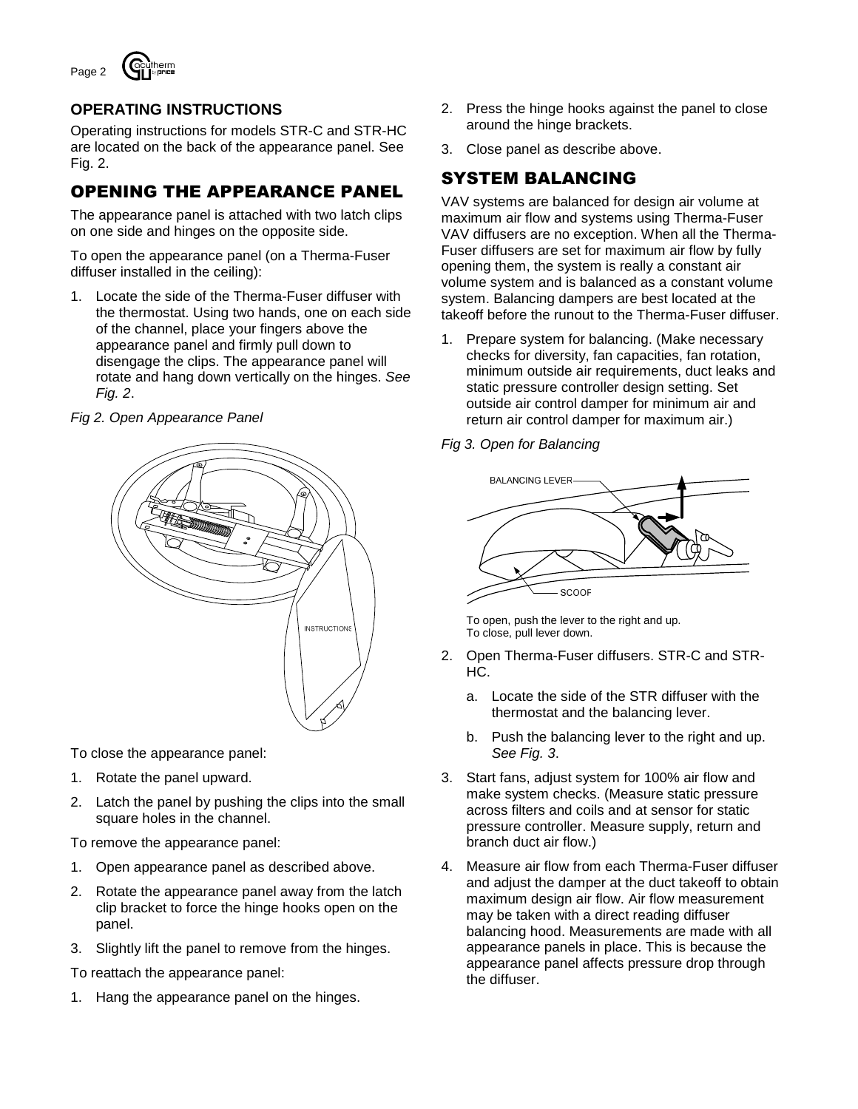

# **OPERATING INSTRUCTIONS**

Operating instructions for models STR-C and STR-HC are located on the back of the appearance panel. See Fig. 2.

# OPENING THE APPEARANCE PANEL

The appearance panel is attached with two latch clips on one side and hinges on the opposite side.

To open the appearance panel (on a Therma-Fuser diffuser installed in the ceiling):

1. Locate the side of the Therma-Fuser diffuser with the thermostat. Using two hands, one on each side of the channel, place your fingers above the appearance panel and firmly pull down to disengage the clips. The appearance panel will rotate and hang down vertically on the hinges. See Fig. 2.

#### Fig 2. Open Appearance Panel



To close the appearance panel:

- 1. Rotate the panel upward.
- 2. Latch the panel by pushing the clips into the small square holes in the channel.

To remove the appearance panel:

- 1. Open appearance panel as described above.
- 2. Rotate the appearance panel away from the latch clip bracket to force the hinge hooks open on the panel.
- 3. Slightly lift the panel to remove from the hinges.

To reattach the appearance panel:

1. Hang the appearance panel on the hinges.

- 2. Press the hinge hooks against the panel to close around the hinge brackets.
- 3. Close panel as describe above.

# SYSTEM BALANCING

VAV systems are balanced for design air volume at maximum air flow and systems using Therma-Fuser VAV diffusers are no exception. When all the Therma-Fuser diffusers are set for maximum air flow by fully opening them, the system is really a constant air volume system and is balanced as a constant volume system. Balancing dampers are best located at the takeoff before the runout to the Therma-Fuser diffuser.

- 1. Prepare system for balancing. (Make necessary checks for diversity, fan capacities, fan rotation, minimum outside air requirements, duct leaks and static pressure controller design setting. Set outside air control damper for minimum air and return air control damper for maximum air.)
- Fig 3. Open for Balancing



To open, push the lever to the right and up. To close, pull lever down.

- 2. Open Therma-Fuser diffusers. STR-C and STR-HC.
	- a. Locate the side of the STR diffuser with the thermostat and the balancing lever.
	- b. Push the balancing lever to the right and up. See Fig. 3.
- 3. Start fans, adjust system for 100% air flow and make system checks. (Measure static pressure across filters and coils and at sensor for static pressure controller. Measure supply, return and branch duct air flow.)
- 4. Measure air flow from each Therma-Fuser diffuser and adjust the damper at the duct takeoff to obtain maximum design air flow. Air flow measurement may be taken with a direct reading diffuser balancing hood. Measurements are made with all appearance panels in place. This is because the appearance panel affects pressure drop through the diffuser.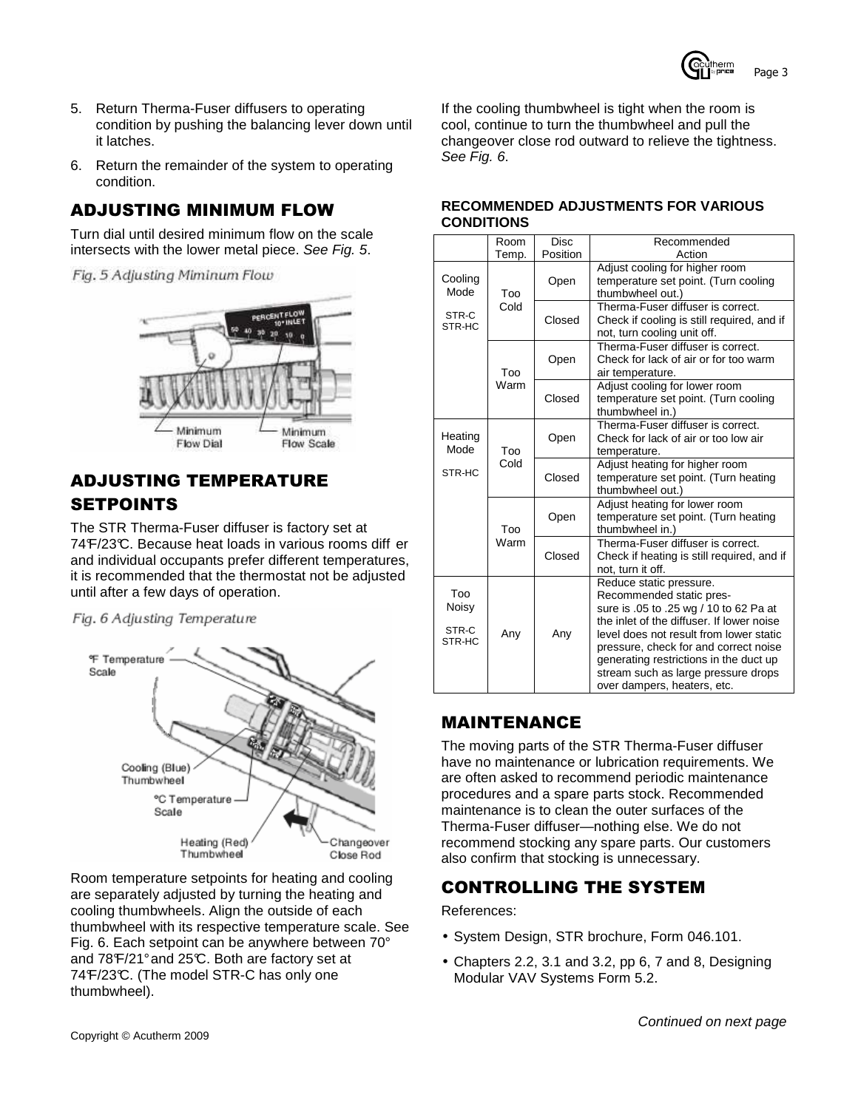

- 5. Return Therma-Fuser diffusers to operating condition by pushing the balancing lever down until it latches.
- 6. Return the remainder of the system to operating condition.

# ADJUSTING MINIMUM FLOW

Turn dial until desired minimum flow on the scale intersects with the lower metal piece. See Fig. 5.

Fig. 5 Adjusting Miminum Flow



# ADJUSTING TEMPERATURE SETPOINTS

The STR Therma-Fuser diffuser is factory set at 74 F/23°C. Because heat loads in various rooms diff er and individual occupants prefer different temperatures, it is recommended that the thermostat not be adjusted until after a few days of operation.

Fig. 6 Adjusting Temperature



Room temperature setpoints for heating and cooling are separately adjusted by turning the heating and cooling thumbwheels. Align the outside of each thumbwheel with its respective temperature scale. See Fig. 6. Each setpoint can be anywhere between 70° and 78°F/21° and 25°C. Both are factory set at 74°F/23°C. (The model STR-C has only one thumbwheel).

If the cooling thumbwheel is tight when the room is cool, continue to turn the thumbwheel and pull the changeover close rod outward to relieve the tightness. See Fig. 6.

#### **RECOMMENDED ADJUSTMENTS FOR VARIOUS CONDITIONS**

|                                 | Room        | <b>Disc</b> | Recommended                                                                                                                                                                                                                                                                                                                                    |  |  |  |  |  |
|---------------------------------|-------------|-------------|------------------------------------------------------------------------------------------------------------------------------------------------------------------------------------------------------------------------------------------------------------------------------------------------------------------------------------------------|--|--|--|--|--|
|                                 | Temp.       | Position    | Action                                                                                                                                                                                                                                                                                                                                         |  |  |  |  |  |
| Cooling<br>Mode                 | Too         | Open        | Adjust cooling for higher room<br>temperature set point. (Turn cooling<br>thumbwheel out.)                                                                                                                                                                                                                                                     |  |  |  |  |  |
| STR-C<br>STR-HC                 | Cold        | Closed      | Therma-Fuser diffuser is correct.<br>Check if cooling is still required, and if<br>not, turn cooling unit off.                                                                                                                                                                                                                                 |  |  |  |  |  |
|                                 | Too         | Open        | Therma-Fuser diffuser is correct.<br>Check for lack of air or for too warm<br>air temperature.                                                                                                                                                                                                                                                 |  |  |  |  |  |
|                                 | Warm        | Closed      | Adjust cooling for lower room<br>temperature set point. (Turn cooling<br>thumbwheel in.)                                                                                                                                                                                                                                                       |  |  |  |  |  |
| Heating<br>Mode                 | Too         | Open        | Therma-Fuser diffuser is correct.<br>Check for lack of air or too low air<br>temperature.                                                                                                                                                                                                                                                      |  |  |  |  |  |
| STR-HC                          | Cold        | Closed      | Adjust heating for higher room<br>temperature set point. (Turn heating<br>thumbwheel out.)                                                                                                                                                                                                                                                     |  |  |  |  |  |
|                                 | Too<br>Warm | Open        | Adjust heating for lower room<br>temperature set point. (Turn heating<br>thumbwheel in.)                                                                                                                                                                                                                                                       |  |  |  |  |  |
|                                 |             | Closed      | Therma-Fuser diffuser is correct.<br>Check if heating is still required, and if<br>not, turn it off.                                                                                                                                                                                                                                           |  |  |  |  |  |
| Too<br>Noisy<br>STR-C<br>STR-HC | Any         | Any         | Reduce static pressure.<br>Recommended static pres-<br>sure is .05 to .25 wg / 10 to 62 Pa at<br>the inlet of the diffuser. If lower noise<br>level does not result from lower static<br>pressure, check for and correct noise<br>generating restrictions in the duct up<br>stream such as large pressure drops<br>over dampers, heaters, etc. |  |  |  |  |  |

# MAINTENANCE

The moving parts of the STR Therma-Fuser diffuser have no maintenance or lubrication requirements. We are often asked to recommend periodic maintenance procedures and a spare parts stock. Recommended maintenance is to clean the outer surfaces of the Therma-Fuser diffuser—nothing else. We do not recommend stocking any spare parts. Our customers also confirm that stocking is unnecessary.

# CONTROLLING THE SYSTEM

References:

- System Design, STR brochure, Form 046.101.
- Chapters 2.2, 3.1 and 3.2, pp 6, 7 and 8, Designing Modular VAV Systems Form 5.2.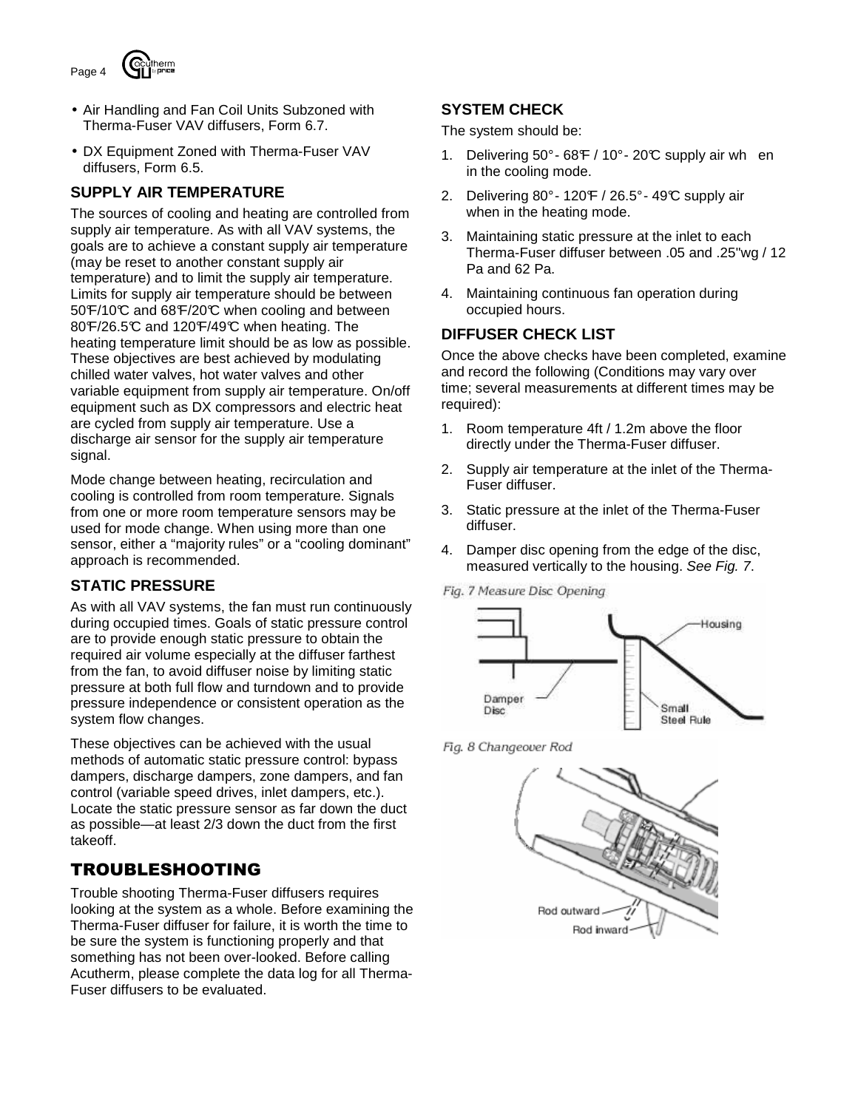

- Air Handling and Fan Coil Units Subzoned with Therma-Fuser VAV diffusers, Form 6.7.
- DX Equipment Zoned with Therma-Fuser VAV diffusers, Form 6.5.

### **SUPPLY AIR TEMPERATURE**

The sources of cooling and heating are controlled from supply air temperature. As with all VAV systems, the goals are to achieve a constant supply air temperature (may be reset to another constant supply air temperature) and to limit the supply air temperature. Limits for supply air temperature should be between 50°F/10°C and 68°F/20°C when cooling and between 80°F/26.5°C and 120°F/49°C when heating. The heating temperature limit should be as low as possible. These objectives are best achieved by modulating chilled water valves, hot water valves and other variable equipment from supply air temperature. On/off equipment such as DX compressors and electric heat are cycled from supply air temperature. Use a discharge air sensor for the supply air temperature signal.

Mode change between heating, recirculation and cooling is controlled from room temperature. Signals from one or more room temperature sensors may be used for mode change. When using more than one sensor, either a "majority rules" or a "cooling dominant" approach is recommended.

### **STATIC PRESSURE**

As with all VAV systems, the fan must run continuously during occupied times. Goals of static pressure control are to provide enough static pressure to obtain the required air volume especially at the diffuser farthest from the fan, to avoid diffuser noise by limiting static pressure at both full flow and turndown and to provide pressure independence or consistent operation as the system flow changes.

These objectives can be achieved with the usual methods of automatic static pressure control: bypass dampers, discharge dampers, zone dampers, and fan control (variable speed drives, inlet dampers, etc.). Locate the static pressure sensor as far down the duct as possible—at least 2/3 down the duct from the first takeoff.

# TROUBLESHOOTING

Trouble shooting Therma-Fuser diffusers requires looking at the system as a whole. Before examining the Therma-Fuser diffuser for failure, it is worth the time to be sure the system is functioning properly and that something has not been over-looked. Before calling Acutherm, please complete the data log for all Therma-Fuser diffusers to be evaluated.

## **SYSTEM CHECK**

The system should be:

- 1. Delivering  $50^{\circ}$  68 $F/10^{\circ}$  20 $C$  supply air when in the cooling mode.
- 2. Delivering  $80^\circ$  120 F / 26.5° 49 °C supply air when in the heating mode.
- 3. Maintaining static pressure at the inlet to each Therma-Fuser diffuser between .05 and .25"wg / 12 Pa and 62 Pa.
- 4. Maintaining continuous fan operation during occupied hours.

#### **DIFFUSER CHECK LIST**

Once the above checks have been completed, examine and record the following (Conditions may vary over time; several measurements at different times may be required):

- 1. Room temperature 4ft / 1.2m above the floor directly under the Therma-Fuser diffuser.
- 2. Supply air temperature at the inlet of the Therma-Fuser diffuser.
- 3. Static pressure at the inlet of the Therma-Fuser diffuser.
- 4. Damper disc opening from the edge of the disc, measured vertically to the housing. See Fig. 7.

Fig. 7 Measure Disc Opening



Fig. 8 Changeover Rod

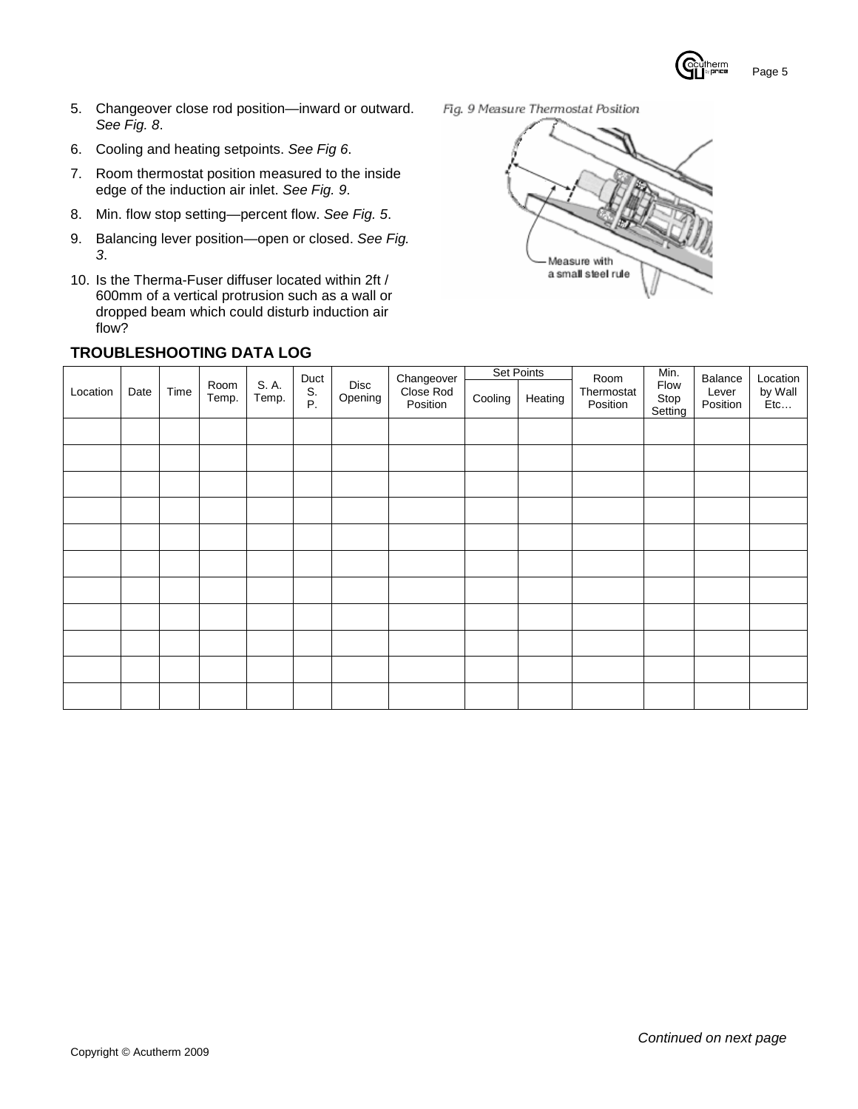$nerm$ Page 5

- 5. Changeover close rod position—inward or outward. See Fig. 8.
- 6. Cooling and heating setpoints. See Fig 6.
- 7. Room thermostat position measured to the inside edge of the induction air inlet. See Fig. 9.
- 8. Min. flow stop setting-percent flow. See Fig. 5.
- 9. Balancing lever position-open or closed. See Fig. 3.
- 10. Is the Therma-Fuser diffuser located within 2ft / 600mm of a vertical protrusion such as a wall or dropped beam which could disturb induction air flow?

### **TROUBLESHOOTING DATA LOG**

Fig. 9 Measure Thermostat Position



|          |      |      |               |                |                  |                 |                                     | <b>Set Points</b> |         |                                | Min.                    | Balance           | Location       |
|----------|------|------|---------------|----------------|------------------|-----------------|-------------------------------------|-------------------|---------|--------------------------------|-------------------------|-------------------|----------------|
| Location | Date | Time | Room<br>Temp. | S. A.<br>Temp. | Duct<br>S.<br>P. | Disc<br>Opening | Changeover<br>Close Rod<br>Position | Cooling           | Heating | Room<br>Thermostat<br>Position | Flow<br>Stop<br>Setting | Lever<br>Position | by Wall<br>Etc |
|          |      |      |               |                |                  |                 |                                     |                   |         |                                |                         |                   |                |
|          |      |      |               |                |                  |                 |                                     |                   |         |                                |                         |                   |                |
|          |      |      |               |                |                  |                 |                                     |                   |         |                                |                         |                   |                |
|          |      |      |               |                |                  |                 |                                     |                   |         |                                |                         |                   |                |
|          |      |      |               |                |                  |                 |                                     |                   |         |                                |                         |                   |                |
|          |      |      |               |                |                  |                 |                                     |                   |         |                                |                         |                   |                |
|          |      |      |               |                |                  |                 |                                     |                   |         |                                |                         |                   |                |
|          |      |      |               |                |                  |                 |                                     |                   |         |                                |                         |                   |                |
|          |      |      |               |                |                  |                 |                                     |                   |         |                                |                         |                   |                |
|          |      |      |               |                |                  |                 |                                     |                   |         |                                |                         |                   |                |
|          |      |      |               |                |                  |                 |                                     |                   |         |                                |                         |                   |                |